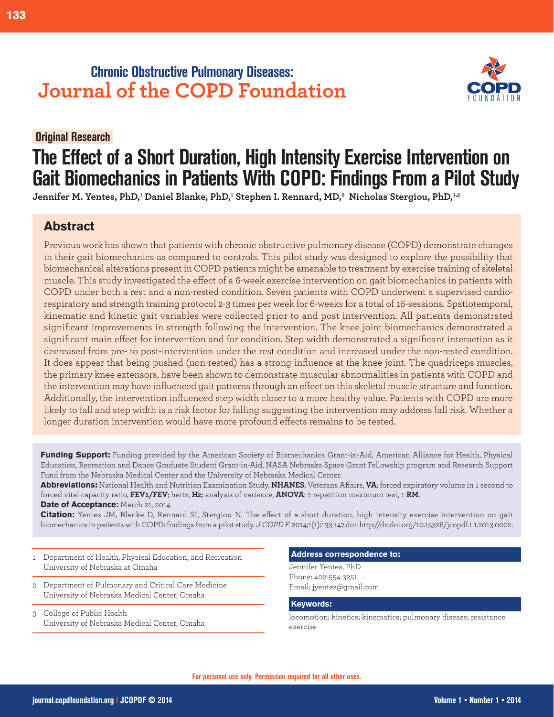# **Chronic Obstructive Pulmonary Diseases: Journal of the COPD Foundation**

# **Original Research.**

# **The Effect of a Short Duration, High Intensity Exercise Intervention on Gait Biomechanics in Patients With COPD: Findings From a Pilot Study**

Jennifer M. Yentes, PhD,<sup>1</sup> Daniel Blanke, PhD,<sup>1</sup> Stephen I. Rennard, MD,<sup>2</sup> Nicholas Stergiou, PhD,<sup>1,3</sup>

# **Abstract**

Previous work has shown that patients with chronic obstructive pulmonary disease (COPD) demonstrate changes in their gait biomechanics as compared to controls. This pilot study was designed to explore the possibility that biomechanical alterations present in COPD patients might be amenable to treatment by exercise training of skeletal muscle. This study investigated the effect of a 6-week exercise intervention on gait biomechanics in patients with COPD under both a rest and a non-rested condition. Seven patients with COPD underwent a supervised cardiorespiratory and strength training protocol 2-3 times per week for 6-weeks for a total of 16-sessions. Spatiotemporal, kinematic and kinetic gait variables were collected prior to and post intervention. All patients demonstrated significant improvements in strength following the intervention. The knee joint biomechanics demonstrated a significant main effect for intervention and for condition. Step width demonstrated a significant interaction as it decreased from pre- to post-intervention under the rest condition and increased under the non-rested condition. It does appear that being pushed (non-rested) has a strong influence at the knee joint. The quadriceps muscles, the primary knee extensors, have been shown to demonstrate muscular abnormalities in patients with COPD and the intervention may have influenced gait patterns through an effect on this skeletal muscle structure and function. Additionally, the intervention influenced step width closer to a more healthy value. Patients with COPD are more likely to fall and step width is a risk factor for falling suggesting the intervention may address fall risk. Whether a longer duration intervention would have more profound effects remains to be tested.

Funding Support: Funding provided by the American Society of Biomechanics Grant-in-Aid, American Alliance for Health, Physical Education, Recreation and Dance Graduate Student Grant-in-Aid, NASA Nebraska Space Grant Fellowship program and Research Support Fund from the Nebraska Medical Center and the University of Nebraska Medical Center.

**Abbreviations:** National Health and Nutrition Examination Study, **NHANES**; Veterans Affairs, **VA**; forced expiratory volume in 1 second to forced vital capacity ratio, **FEV1/FEV**; hertz, Hz; analysis of variance, **ANOVA**; 1-repetition maximum test, 1-RM. **Date of Acceptance:** March 21, 2014

Citation: Yentes JM, Blanke D, Rennard SI, Stergiou N. The effect of a short duration, high intensity exercise intervention on gait biomechanics in patients with COPD: findings from a pilot study. *J COPD F.* 2014;1(1):133-147.doi: http://dx.doi.org/10.15326/jcopdf.1.1.2013.0002.

- 1 Department of Health, Physical Education, and Recreation University of Nebraska at Omaha
- 2 Department of Pulmonary and Critical Care Medicine University of Nebraska Medical Center, Omaha
- 3 College of Public Health University of Nebraska Medical Center, Omaha

## **Address correspondence to:**

Jennifer Yentes, PhD Phone:402-554-3251 Email:jyentes@gmail.com

#### **Keywords:**

locomotion; kinetics; kinematics; pulmonary disease; resistance exercise

**133**

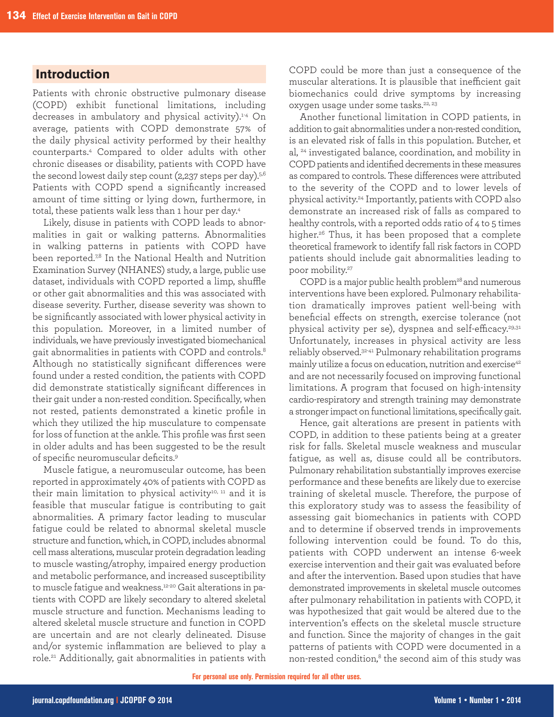# **Introduction**

Patients with chronic obstructive pulmonary disease (COPD) exhibit functional limitations, including decreases in ambulatory and physical activity).<sup>1-4</sup> On average, patients with COPD demonstrate 57% of the daily physical activity performed by their healthy counterparts.4 Compared to older adults with other chronic diseases or disability, patients with COPD have the second lowest daily step count (2,237 steps per day). $5,6$ Patients with COPD spend a significantly increased amount of time sitting or lying down, furthermore, in total, these patients walk less than 1 hour per day.<sup>4</sup>

Likely, disuse in patients with COPD leads to abnormalities in gait or walking patterns. Abnormalities in walking patterns in patients with COPD have been reported.<sup>78</sup> In the National Health and Nutrition Examination Survey (NHANES) study, a large, public use dataset, individuals with COPD reported a limp, shuffle or other gait abnormalities and this was associated with disease severity. Further, disease severity was shown to be significantly associated with lower physical activity in this population. Moreover, in a limited number of individuals, we have previously investigated biomechanical gait abnormalities in patients with COPD and controls.<sup>8</sup> Although no statistically significant differences were found under a rested condition, the patients with COPD did demonstrate statistically significant differences in their gait under a non-rested condition. Specifically, when not rested, patients demonstrated a kinetic profile in which they utilized the hip musculature to compensate for loss of function at the ankle. This profile was first seen in older adults and has been suggested to be the result of specific neuromuscular deficits.<sup>9</sup>

Muscle fatigue, a neuromuscular outcome, has been reported in approximately 40% of patients with COPD as their main limitation to physical activity<sup>10, 11</sup> and it is feasible that muscular fatigue is contributing to gait abnormalities. A primary factor leading to muscular fatigue could be related to abnormal skeletal muscle structure and function, which, in COPD, includes abnormal cell mass alterations, muscular protein degradation leading to muscle wasting/atrophy, impaired energy production and metabolic performance, and increased susceptibility to muscle fatigue and weakness.<sup>12-20</sup> Gait alterations in patients with COPD are likely secondary to altered skeletal muscle structure and function. Mechanisms leading to altered skeletal muscle structure and function in COPD are uncertain and are not clearly delineated. Disuse and/or systemic inflammation are believed to play a role.<sup>21</sup> Additionally, gait abnormalities in patients with

COPD could be more than just a consequence of the muscular alterations. It is plausible that inefficient gait biomechanics could drive symptoms by increasing oxygen usage under some tasks.<sup>22, 23</sup>

Another functional limitation in COPD patients, in addition to gait abnormalities under a non-rested condition, is an elevated risk of falls in this population. Butcher, et al, <sup>24</sup> investigated balance, coordination, and mobility in COPD patients and identified decrements in these measures as compared to controls. These differences were attributed to the severity of the COPD and to lower levels of physical activity.<sup>24</sup> Importantly, patients with COPD also demonstrate an increased risk of falls as compared to healthy controls, with a reported odds ratio of 4 to 5 times higher.<sup>26</sup> Thus, it has been proposed that a complete theoretical framework to identify fall risk factors in COPD patients should include gait abnormalities leading to poor mobility.<sup>27</sup>

COPD is a major public health problem<sup>28</sup> and numerous interventions have been explored. Pulmonary rehabilitation dramatically improves patient well-being with beneficial effects on strength, exercise tolerance (not physical activity per se), dyspnea and self-efficacy.<sup>29,31</sup> Unfortunately, increases in physical activity are less reliably observed.<sup>32-41</sup> Pulmonary rehabilitation programs mainly utilize a focus on education, nutrition and exercise<sup>42</sup> and are not necessarily focused on improving functional limitations. A program that focused on high-intensity cardio-respiratory and strength training may demonstrate a stronger impact on functional limitations, specifically gait.

Hence, gait alterations are present in patients with COPD, in addition to these patients being at a greater risk for falls. Skeletal muscle weakness and muscular fatigue, as well as, disuse could all be contributors. Pulmonary rehabilitation substantially improves exercise performance and these benefits are likely due to exercise training of skeletal muscle. Therefore, the purpose of this exploratory study was to assess the feasibility of assessing gait biomechanics in patients with COPD and to determine if observed trends in improvements following intervention could be found. To do this, patients with COPD underwent an intense 6-week exercise intervention and their gait was evaluated before and after the intervention. Based upon studies that have demonstrated improvements in skeletal muscle outcomes after pulmonary rehabilitation in patients with COPD, it was hypothesized that gait would be altered due to the intervention's effects on the skeletal muscle structure and function. Since the majority of changes in the gait patterns of patients with COPD were documented in a non-rested condition,<sup>8</sup> the second aim of this study was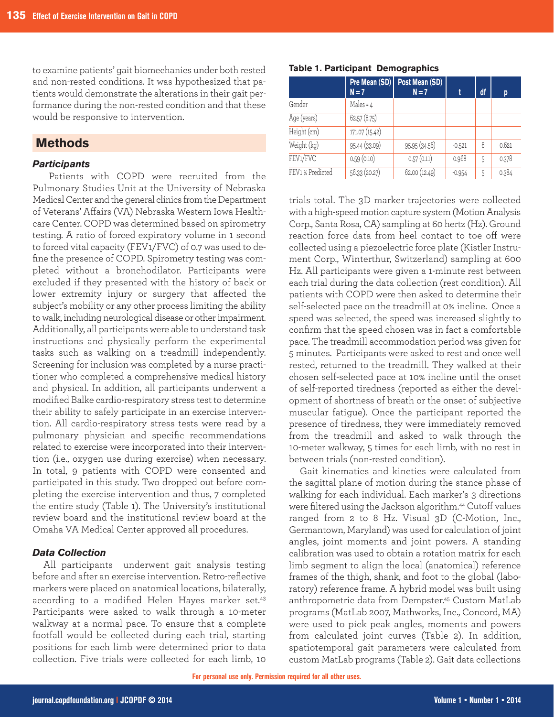to examine patients' gait biomechanics under both rested and non-rested conditions. It was hypothesized that patients would demonstrate the alterations in their gait performance during the non-rested condition and that these would be responsive to intervention.

## **Methods**

## *Participants*

Patients with COPD were recruited from the Pulmonary Studies Unit at the University of Nebraska Medical Center and the general clinics from the Department of Veterans' Affairs (VA) Nebraska Western Iowa Healthcare Center. COPD was determined based on spirometry testing. A ratio of forced expiratory volume in 1 second to forced vital capacity (FEV1/FVC) of 0.7 was used to define the presence of COPD. Spirometry testing was completed without a bronchodilator. Participants were excluded if they presented with the history of back or lower extremity injury or surgery that affected the subject's mobility or any other process limiting the ability to walk, including neurological disease or other impairment. Additionally, all participants were able to understand task instructions and physically perform the experimental tasks such as walking on a treadmill independently. Screening for inclusion was completed by a nurse practitioner who completed a comprehensive medical history and physical. In addition, all participants underwent a modified Balke cardio-respiratory stress test to determine their ability to safely participate in an exercise intervention. All cardio-respiratory stress tests were read by a pulmonary physician and specific recommendations related to exercise were incorporated into their intervention (i.e., oxygen use during exercise) when necessary. In total, 9 patients with COPD were consented and participated in this study. Two dropped out before completing the exercise intervention and thus, 7 completed the entire study (Table 1). The University's institutional review board and the institutional review board at the Omaha VA Medical Center approved all procedures.

## *Data Collection*

All participants underwent gait analysis testing before and after an exercise intervention. Retro-reflective markers were placed on anatomical locations, bilaterally, according to a modified Helen Hayes marker set.<sup>43</sup> Participants were asked to walk through a 10-meter walkway at a normal pace. To ensure that a complete footfall would be collected during each trial, starting positions for each limb were determined prior to data collection. Five trials were collected for each limb, 10

| Table 1. Participant Demographics |  |
|-----------------------------------|--|
|-----------------------------------|--|

|                  | $N=7$          | <b>Pre Mean <math>(SD)</math></b> Post Mean $(SD)$<br>$N=7$ |          | df | p     |
|------------------|----------------|-------------------------------------------------------------|----------|----|-------|
| Gender           | Males = $4$    |                                                             |          |    |       |
| Age (years)      | 62.57(8.75)    |                                                             |          |    |       |
| Height (cm)      | 171.07 (15.42) |                                                             |          |    |       |
| Weight (kg)      | 95.44 (33.09)  | 95.95 (34.56)                                               | $-0.521$ | 6  | 0.621 |
| FEV1/FVC         | 0.59(0.10)     | 0.57(0.11)                                                  | 0.968    | 5  | 0.378 |
| FEV1 % Predicted | 56.33 (20.27)  | 62.00 (12.49)                                               | $-0.954$ | 5  | 0.384 |

trials total. The 3D marker trajectories were collected with a high-speed motion capture system (Motion Analysis Corp., Santa Rosa, CA) sampling at 60 hertz (Hz). Ground reaction force data from heel contact to toe off were collected using a piezoelectric force plate (Kistler Instrument Corp., Winterthur, Switzerland) sampling at 600 Hz. All participants were given a 1-minute rest between each trial during the data collection (rest condition). All patients with COPD were then asked to determine their self-selected pace on the treadmill at 0% incline. Once a speed was selected, the speed was increased slightly to confirm that the speed chosen was in fact a comfortable pace. The treadmill accommodation period was given for 5 minutes. Participants were asked to rest and once well rested, returned to the treadmill. They walked at their chosen self-selected pace at 10% incline until the onset of self-reported tiredness (reported as either the development of shortness of breath or the onset of subjective muscular fatigue). Once the participant reported the presence of tiredness, they were immediately removed from the treadmill and asked to walk through the 10-meter walkway, 5 times for each limb, with no rest in between trials (non-rested condition).

Gait kinematics and kinetics were calculated from the sagittal plane of motion during the stance phase of walking for each individual. Each marker's 3 directions were filtered using the Jackson algorithm.<sup>44</sup> Cutoff values ranged from 2 to 8 Hz. Visual 3D (C-Motion, Inc., Germantown, Maryland) was used for calculation of joint angles, joint moments and joint powers. A standing calibration was used to obtain a rotation matrix for each limb segment to align the local (anatomical) reference frames of the thigh, shank, and foot to the global (laboratory) reference frame. A hybrid model was built using anthropometric data from Dempster.<sup>45</sup> Custom MatLab programs (MatLab 2007, Mathworks, Inc., Concord, MA) were used to pick peak angles, moments and powers from calculated joint curves (Table 2). In addition, spatiotemporal gait parameters were calculated from custom MatLab programs (Table 2). Gait data collections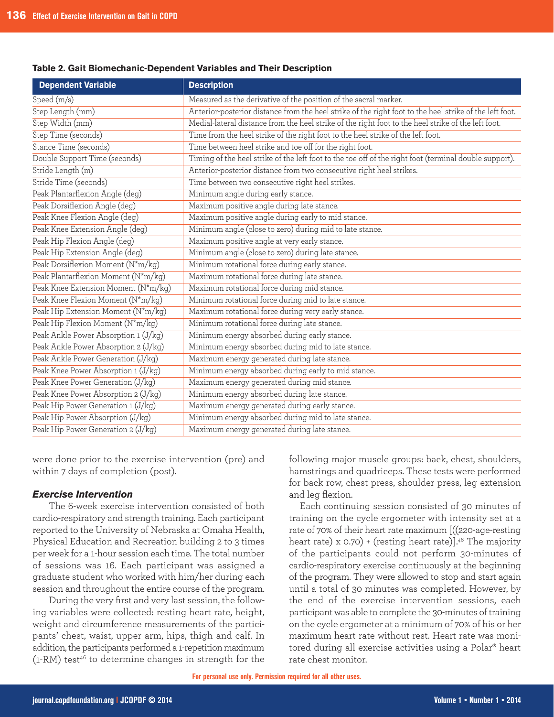#### **Table 2. Gait Biomechanic-Dependent Variables and Their Description**

| <b>Dependent Variable</b>            | <b>Description</b>                                                                                      |
|--------------------------------------|---------------------------------------------------------------------------------------------------------|
| Speed (m/s)                          | Measured as the derivative of the position of the sacral marker.                                        |
| Step Length (mm)                     | Anterior-posterior distance from the heel strike of the right foot to the heel strike of the left foot. |
| Step Width (mm)                      | Medial-lateral distance from the heel strike of the right foot to the heel strike of the left foot.     |
| Step Time (seconds)                  | Time from the heel strike of the right foot to the heel strike of the left foot.                        |
| Stance Time (seconds)                | Time between heel strike and toe off for the right foot.                                                |
| Double Support Time (seconds)        | Timing of the heel strike of the left foot to the toe off of the right foot (terminal double support).  |
| Stride Length (m)                    | Anterior-posterior distance from two consecutive right heel strikes.                                    |
| Stride Time (seconds)                | Time between two consecutive right heel strikes.                                                        |
| Peak Plantarflexion Angle (deg)      | Minimum angle during early stance.                                                                      |
| Peak Dorsiflexion Angle (deg)        | Maximum positive angle during late stance.                                                              |
| Peak Knee Flexion Angle (deg)        | Maximum positive angle during early to mid stance.                                                      |
| Peak Knee Extension Angle (deg)      | Minimum angle (close to zero) during mid to late stance.                                                |
| Peak Hip Flexion Angle (deg)         | Maximum positive angle at very early stance.                                                            |
| Peak Hip Extension Angle (deg)       | Minimum angle (close to zero) during late stance.                                                       |
| Peak Dorsiflexion Moment (N*m/kg)    | Minimum rotational force during early stance.                                                           |
| Peak Plantarflexion Moment (N*m/kg)  | Maximum rotational force during late stance.                                                            |
| Peak Knee Extension Moment (N*m/kg)  | Maximum rotational force during mid stance.                                                             |
| Peak Knee Flexion Moment (N*m/kg)    | Minimum rotational force during mid to late stance.                                                     |
| Peak Hip Extension Moment (N*m/kg)   | Maximum rotational force during very early stance.                                                      |
| Peak Hip Flexion Moment (N*m/kg)     | Minimum rotational force during late stance.                                                            |
| Peak Ankle Power Absorption 1 (J/kg) | Minimum energy absorbed during early stance.                                                            |
| Peak Ankle Power Absorption 2 (J/kg) | Minimum energy absorbed during mid to late stance.                                                      |
| Peak Ankle Power Generation (J/kg)   | Maximum energy generated during late stance.                                                            |
| Peak Knee Power Absorption 1 (J/kg)  | Minimum energy absorbed during early to mid stance.                                                     |
| Peak Knee Power Generation (J/kg)    | Maximum energy generated during mid stance.                                                             |
| Peak Knee Power Absorption 2 (J/kg)  | Minimum energy absorbed during late stance.                                                             |
| Peak Hip Power Generation 1 (J/kg)   | Maximum energy generated during early stance.                                                           |
| Peak Hip Power Absorption (J/kg)     | Minimum energy absorbed during mid to late stance.                                                      |
| Peak Hip Power Generation 2 (J/kg)   | Maximum energy generated during late stance.                                                            |

were done prior to the exercise intervention (pre) and within 7 days of completion (post).

### *Exercise Intervention*

The 6-week exercise intervention consisted of both cardio-respiratory and strength training. Each participant reported to the University of Nebraska at Omaha Health, Physical Education and Recreation building 2 to 3 times per week for a 1-hour session each time. The total number of sessions was 16. Each participant was assigned a graduate student who worked with him/her during each session and throughout the entire course of the program.

During the very first and very last session, the following variables were collected: resting heart rate, height, weight and circumference measurements of the participants' chest, waist, upper arm, hips, thigh and calf. In addition, the participants performed a 1-repetition maximum (1-RM) test<sup>46</sup> to determine changes in strength for the

following major muscle groups: back, chest, shoulders, hamstrings and quadriceps. These tests were performed for back row, chest press, shoulder press, leg extension and leg flexion.

Each continuing session consisted of 30 minutes of training on the cycle ergometer with intensity set at a rate of 70% of their heart rate maximum  $[(220 \text{-}aqe\text{-}resting$ heart rate) x  $0.70$ ) + (resting heart rate)].<sup>46</sup> The majority of the participants could not perform 30-minutes of cardio-respiratory exercise continuously at the beginning of the program. They were allowed to stop and start again until a total of 30 minutes was completed. However, by the end of the exercise intervention sessions, each participant was able to complete the 30-minutes of training onthecycleergometerataminimumof70%ofhisorher maximum heart rate without rest. Heart rate was monitored during all exercise activities using a Polar® heart rate chest monitor.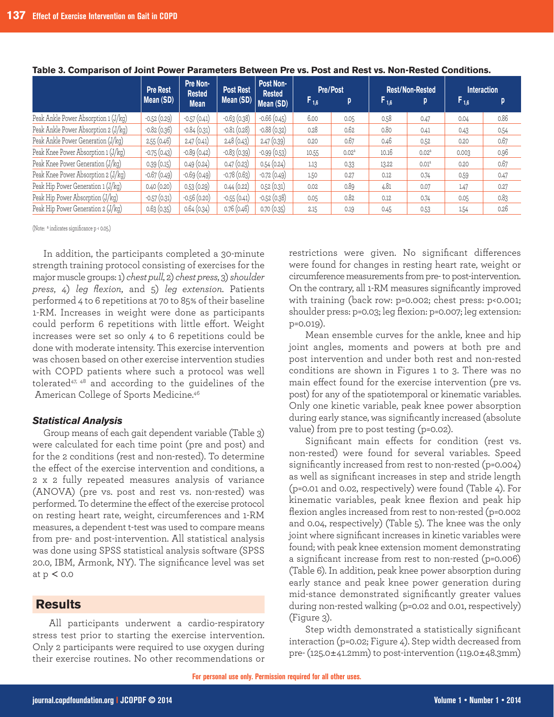|                                      | <b>Pre Rest</b> | Pre Non-      | Post Rest<br><b>Rested</b> | Post Non-<br><b>Rested</b> | <b>Pre/Post</b> |                   | <b>Rest/Non-Rested</b> |                   | <b>Interaction</b> |      |
|--------------------------------------|-----------------|---------------|----------------------------|----------------------------|-----------------|-------------------|------------------------|-------------------|--------------------|------|
|                                      | Mean (SD)       | <b>Mean</b>   | Mean (SD)                  | Mean (SD)                  | $F_{1,6}$       | p                 | $F_{1,6}$              | p                 | $F_{1,6}$          | D.   |
| Peak Ankle Power Absorption 1 (J/kg) | $-0.52(0.29)$   | $-0.57(0.41)$ | $-0.63(0.38)$              | $-0.66(0.45)$              | 6.00            | 0.05              | 0.58                   | 0.47              | 0.04               | 0.86 |
| Peak Ankle Power Absorption 2 (J/kg) | $-0.82(0.36)$   | $-0.84(0.31)$ | $-0.81(0.28)$              | $-0.88(0.32)$              | 0.28            | 0.62              | 0.80                   | 0.41              | 0.43               | 0.54 |
| Peak Ankle Power Generation (J/kg)   | 2.55(0.46)      | 2.47(0.41)    | 2.48(0.43)                 | 2.47(0.39)                 | 0.20            | 0.67              | 0.46                   | 0.52              | 0.20               | 0.67 |
| Peak Knee Power Absorption 1 (J/kg)  | $-0.75(0.43)$   | $-0.89(0.42)$ | $-0.83(0.39)$              | $-0.99(0.53)$              | 10.55           | 0.02 <sup>a</sup> | 10.16                  | 0.02 <sup>a</sup> | 0.003              | 0.96 |
| Peak Knee Power Generation (J/kg)    | 0.39(0.15)      | 0.49(0.24)    | 0.47(0.23)                 | 0.54(0.24)                 | 1.13            | 0.33              | 13.22                  | 0.01 <sup>a</sup> | 0.20               | 0.67 |
| Peak Knee Power Absorption 2 (J/kg)  | $-0.67(0.49)$   | $-0.69(0.49)$ | $-0.78(0.63)$              | $-0.72(0.49)$              | 1.50            | 0.27              | 0.12                   | 0.74              | 0.59               | 0.47 |
| Peak Hip Power Generation 1 (J/kg)   | 0.40(0.20)      | 0.53(0.29)    | 0.44(0.22)                 | 0.52(0.31)                 | 0.02            | 0.89              | 4.81                   | 0.07              | 1.47               | 0.27 |
| Peak Hip Power Absorption (J/kg)     | $-0.57(0.31)$   | $-0.56(0.20)$ | $-0.55(0.41)$              | $-0.52(0.38)$              | 0.05            | 0.82              | 0.12                   | 0.74              | 0.05               | 0.83 |
| Peak Hip Power Generation 2 (J/kg)   | 0.63(0.35)      | 0.64(0.34)    | 0.76(0.46)                 | 0.70(0.35)                 | 2.15            | 0.19              | 0.45                   | 0.53              | 1.54               | 0.26 |

#### **Table 3. Comparison of Joint Power Parameters Between Pre vs. Post and Rest vs. Non-Rested Conditions.**

(Note:  $a$  indicates significance p < 0.05.)

In addition, the participants completed a 30-minute strength training protocol consisting of exercises for the majormusclegroups:1)*chest pull*,2)*chest press*,3)*shoulder press*, 4) *leg flexion*, and 5) *leg extension*. Patients performed 4 to 6 repetitions at 70 to 85% of their baseline 1-RM. Increases in weight were done as participants could perform 6 repetitions with little effort. Weight increases were set so only  $4$  to 6 repetitions could be done with moderate intensity. This exercise intervention was chosen based on other exercise intervention studies with COPD patients where such a protocol was well tolerated47, 48 and according to the guidelines of the American College of Sports Medicine.<sup>46</sup>

#### *Statistical Analysis*

Group means of each gait dependent variable (Table 3) were calculated for each time point (pre and post) and for the 2 conditions (rest and non-rested). To determine the effect of the exercise intervention and conditions, a 2 x 2 fully repeated measures analysis of variance (ANOVA) (pre vs. post and rest vs. non-rested) was performed. To determine the effect of the exercise protocol on resting heart rate, weight, circumferences and 1-RM measures, a dependent t-test was used to compare means from pre- and post-intervention. All statistical analysis was done using SPSS statistical analysis software (SPSS 20.0, IBM, Armonk, NY). The significance level was set at  $p < 0.0$ 

## **Results**

All participants underwent a cardio-respiratory stress test prior to starting the exercise intervention. Only 2 participants were required to use oxygen during their exercise routines. No other recommendations or restrictions were given. No significant differences were found for changes in resting heart rate, weight or circumference measurements from pre-to post-intervention. On the contrary, all 1-RM measures significantly improved with training (back row: p=0.002; chest press: p<0.001; shoulder press: p=0.03; leg flexion: p=0.007; leg extension: p=0.019).

Mean ensemble curves for the ankle, knee and hip joint angles, moments and powers at both pre and post intervention and under both rest and non-rested conditions are shown in Figures 1 to 3. There was no main effect found for the exercise intervention (pre vs. post) for any of the spatiotemporal or kinematic variables. Only one kinetic variable, peak knee power absorption during early stance, was significantly increased (absolute value) from pre to post testing (p=0.02).

Significant main effects for condition (rest vs. non-rested) were found for several variables. Speed significantly increased from rest to non-rested (p=0.004) as well as significant increases in step and stride length ( $p=0.01$  and 0.02, respectively) were found (Table 4). For kinematic variables, peak knee flexion and peak hip flexion angles increased from rest to non-rested (p=0.002 and 0.04, respectively) (Table  $5$ ). The knee was the only joint where significant increases in kinetic variables were found; with peak knee extension moment demonstrating a significant increase from rest to non-rested (p=0.006) (Table 6). In addition, peak knee power absorption during early stance and peak knee power generation during mid-stance demonstrated significantly greater values during non-rested walking (p=0.02 and 0.01, respectively)  $(Figure 3)$ .

Step width demonstrated a statistically significant interaction (p=0.02; Figure  $4$ ). Step width decreased from pre- $(125.0\pm41.2\text{mm})$  to post-intervention  $(119.0\pm48.3\text{mm})$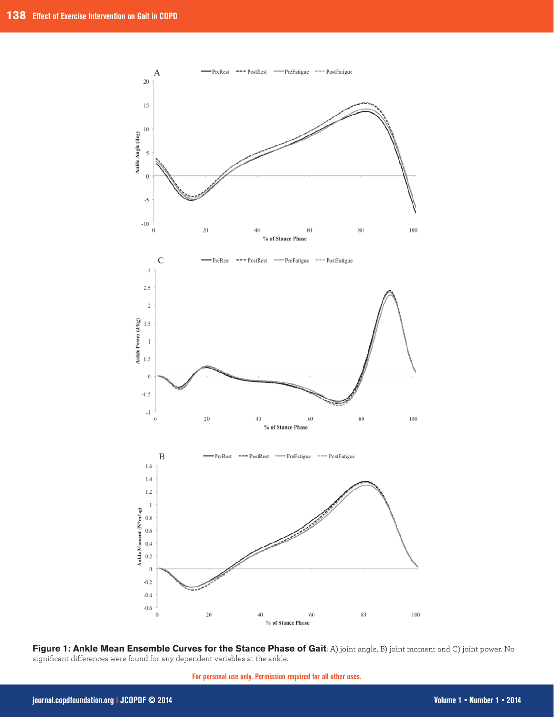

Figure 1: Ankle Mean Ensemble Curves for the Stance Phase of Gait: A) joint angle, B) joint moment and C) joint power. No significant differences were found for any dependent variables at the ankle.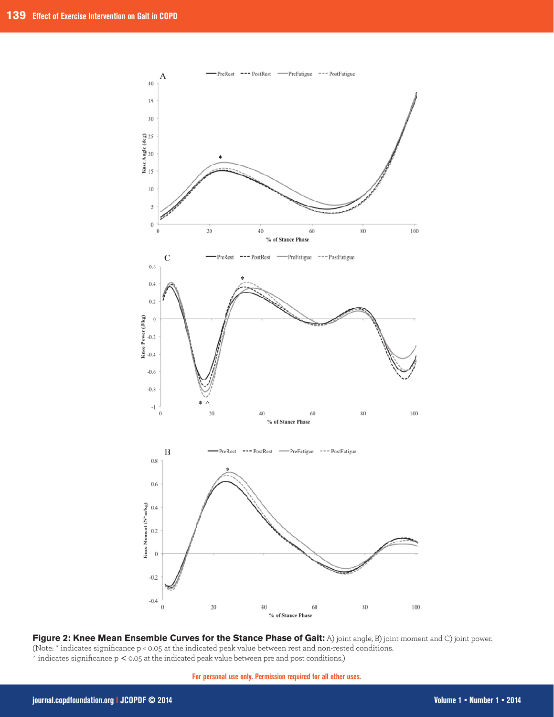

Figure 2: Knee Mean Ensemble Curves for the Stance Phase of Gait: A) joint angle, B) joint moment and C) joint power. (Note: \* indicates significance p < 0.05 at the indicated peak value between rest and non-rested conditions.  $\hat{\ }$  indicates significance p < 0.05 at the indicated peak value between pre and post conditions.)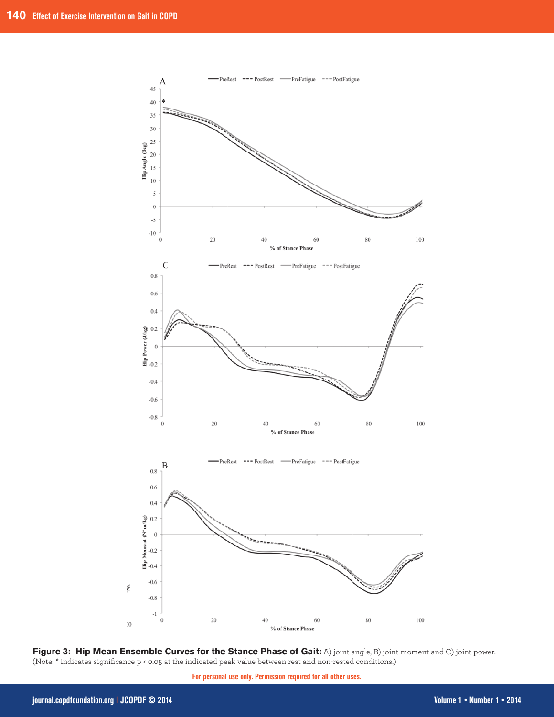

Figure 3: Hip Mean Ensemble Curves for the Stance Phase of Gait: A) joint angle, B) joint moment and C) joint power. (Note: \* indicates significance p < 0.05 at the indicated peak value between rest and non-rested conditions.)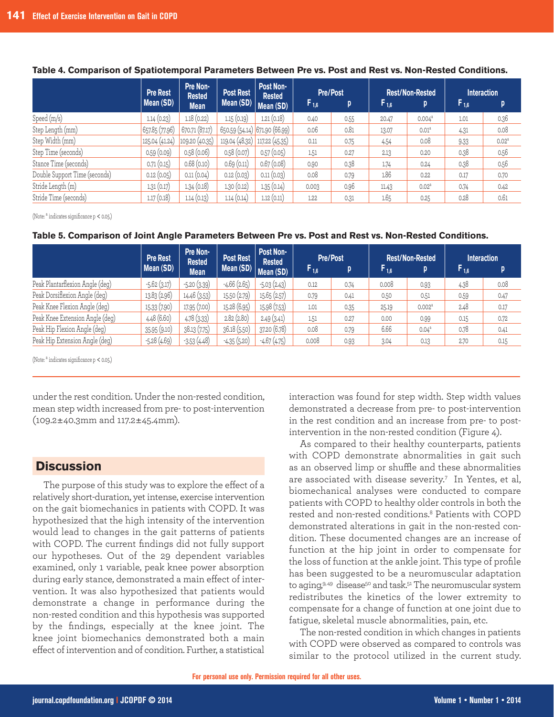|                               | <b>Pre Rest</b><br>Mean (SD) | Pre Non-<br><b>Rested</b><br><b>Mean</b> | <b>Post Rest</b><br>Mean $(SD)$ | Post Non-<br><b>Rested</b><br>Mean (SD) | $F_{1,6}$ | <b>Pre/Post</b><br>p | $F_{1,6}$ | <b>Rest/Non-Rested</b><br>p | <b>Interaction</b><br>$F_{1,6}$ | p                 |
|-------------------------------|------------------------------|------------------------------------------|---------------------------------|-----------------------------------------|-----------|----------------------|-----------|-----------------------------|---------------------------------|-------------------|
| Speed (m/s)                   | 1.14(0.23)                   | 1.18(0.22)                               | 1.15(0.19)                      | 1.21(0.18)                              | 0.40      | 0.55                 | 20.47     | $0.004^a$                   | 1.01                            | 0.36              |
| Step Length (mm)              | 657.85 (77.96)               | 670.71(87.17)                            |                                 | 650.59 (54.14) 671.90 (66.99)           | 0.06      | 0.81                 | 13.07     | 0.01 <sup>a</sup>           | 4.31                            | 0.08              |
| Step Width (mm)               | 125.04(41.24)                | 109.20(40.35)                            | 119.04 (48.32) 117.22 (45.35)   |                                         | 0.11      | 0.75                 | 4.54      | 0.08                        | 9.33                            | 0.02 <sup>a</sup> |
| Step Time (seconds)           | 0.59(0.09)                   | 0.58(0.06)                               | 0.58(0.07)                      | 0.57(0.05)                              | 1.51      | 0.27                 | 2.13      | 0.20                        | 0.38                            | 0.56              |
| Stance Time (seconds)         | 0.71(0.15)                   | 0.68(0.10)                               | 0.69(0.11)                      | 0.67(0.08)                              | 0.90      | 0.38                 | 1.74      | 0.24                        | 0.38                            | 0.56              |
| Double Support Time (seconds) | 0.12(0.05)                   | 0.11(0.04)                               | 0.12(0.03)                      | 0.11(0.03)                              | 0.08      | 0.79                 | 1.86      | 0.22                        | 0.17                            | 0.70              |
| Stride Length (m)             | 1.31(0.17)                   | 1.34(0.18)                               | 1.30(0.12)                      | 1.35(0.14)                              | 0.003     | 0.96                 | 11.43     | 0.02 <sup>a</sup>           | 0.74                            | 0.42              |
| Stride Time (seconds)         | 1.17(0.18)                   | 1.14(0.13)                               | 1.14(0.14)                      | 1.12(0.11)                              | 1.22      | 0.31                 | 1.65      | 0.25                        | 0.28                            | 0.61              |

#### **Table 4. Comparison of Spatiotemporal Parameters Between Pre vs. Post and Rest vs. Non-Rested Conditions.**

(Note:  $a$  indicates significance  $p < 0.05$ .)

### **Table 5. Comparison of Joint Angle Parameters Between Pre vs. Post and Rest vs. Non-Rested Conditions.**

|                                 | <b>Pre Rest</b><br>Mean (SD) | Pre Non-<br><b>Rested</b><br><b>Mean</b> | <b>Post Rest</b><br>Mean (SD) | Post Non-<br><b>Rested</b><br>Mean (SD) | <b>Pre/Post</b><br>$F_{1,6}$ | p    | $F_{1,6}$ | <b>Rest/Non-Rested</b><br>p | <b>Interaction</b><br>$F_{1,6}$ | p    |
|---------------------------------|------------------------------|------------------------------------------|-------------------------------|-----------------------------------------|------------------------------|------|-----------|-----------------------------|---------------------------------|------|
| Peak Plantarflexion Angle (deg) | $-5.62(3.17)$                | $-5.20(3.39)$                            | $-4.66(2.65)$                 | $-5.03(2.43)$                           | 0.12                         | 0.74 | 0.008     | 0.93                        | 4.38                            | 0.08 |
| Peak Dorsiflexion Angle (deg)   | 13.83 (2.96)                 | 14.46 (3.53)                             | 15.50(2.79)                   | 15.65(2.57)                             | 0.79                         | 0.41 | 0.50      | 0.51                        | 0.59                            | 0.47 |
| Peak Knee Flexion Angle (deg)   | 15.33 (7.90)                 | 17.95 (7.00)                             | 15.28 (6.95)                  | 15.98 (7.53)                            | 1.01                         | 0.35 | 25.19     | 0.002 <sup>a</sup>          | 2.48                            | 0.17 |
| Peak Knee Extension Angle (deg) | 4.48 (6.60)                  | 4.78(3.33)                               | 2.82(2.80)                    | 2.49(3.41)                              | 1.51                         | 0.27 | 0.00      | 0.99                        | 0.15                            | 0.72 |
| Peak Hip Flexion Angle (deg)    | 35.95 (9.10)                 | 38.13 (7.75)                             | 36.18 (5.50)                  | 37.20 (6.78)                            | 0.08                         | 0.79 | 6.66      | 0.04 <sup>a</sup>           | 0.78                            | 0.41 |
| Peak Hip Extension Angle (deg)  | $-5.28(4.69)$                | $-3.53(4.48)$                            | $-4.35(5.20)$                 | $-4.67(4.75)$                           | 0.008                        | 0.93 | 3.04      | 0.13                        | 2.70                            | 0.15 |

(Note:  $a$  indicates significance  $p < 0.05$ .)

under the rest condition. Under the non-rested condition, mean step width increased from pre-to post-intervention  $(109.2 \pm 40.3 \text{mm} \text{ and } 117.2 \pm 45.4 \text{mm}).$ 

## **Discussion**

The purpose of this study was to explore the effect of a relatively short-duration, yet intense, exercise intervention on the gait biomechanics in patients with COPD. It was hypothesized that the high intensity of the intervention would lead to changes in the gait patterns of patients with COPD. The current findings did not fully support our hypotheses. Out of the 29 dependent variables examined, only 1 variable, peak knee power absorption during early stance, demonstrated a main effect of intervention. It was also hypothesized that patients would demonstrate a change in performance during the non-rested condition and this hypothesis was supported by the findings, especially at the knee joint. The knee joint biomechanics demonstrated both a main effect of intervention and of condition. Further, a statistical

interaction was found for step width. Step width values demonstrated a decrease from pre- to post-intervention in the rest condition and an increase from pre- to postintervention in the non-rested condition (Figure  $4$ ).

As compared to their healthy counterparts, patients with COPD demonstrate abnormalities in gait such as an observed limp or shuffle and these abnormalities are associated with disease severity.<sup>7</sup> In Yentes, et al, biomechanical analyses were conducted to compare patients with COPD to healthy older controls in both the rested and non-rested conditions.<sup>8</sup> Patients with COPD demonstrated alterations in gait in the non-rested condition. These documented changes are an increase of function at the hip joint in order to compensate for the loss of function at the ankle joint. This type of profile has been suggested to be a neuromuscular adaptation to aging,9,49 disease<sup>50</sup> and task.<sup>51</sup> The neuromuscular system redistributes the kinetics of the lower extremity to compensate for a change of function at one joint due to fatique, skeletal muscle abnormalities, pain, etc.

The non-rested condition in which changes in patients with COPD were observed as compared to controls was similar to the protocol utilized in the current study.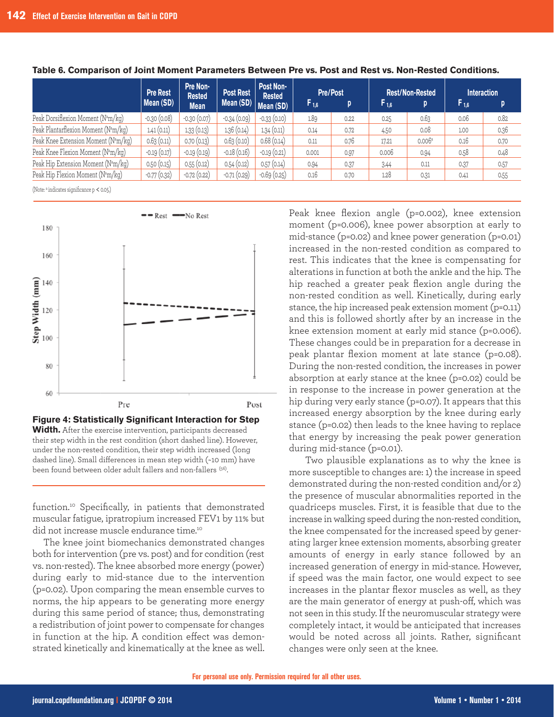|                                                  | <b>Pre Rest</b> | Pre Non-<br><b>Rested</b> | <b>Post Rest</b> | Post Non-<br><b>Rested</b> | <b>Pre/Post</b> |      | <b>Rest/Non-Rested</b> |        | <b>Interaction</b> |      |
|--------------------------------------------------|-----------------|---------------------------|------------------|----------------------------|-----------------|------|------------------------|--------|--------------------|------|
|                                                  | Mean (SD)       | <b>Mean</b>               | Mean (SD)        | Mean (SD)                  | $F_{1,6}$       | p    | F <sub>1.6</sub>       | p      | $F_{1,6}$          | D.   |
| Peak Dorsiflexion Moment (N <sup>a</sup> m/kg)   | $-0.30(0.08)$   | $-0.30(0.07)$             | $-0.34(0.09)$    | $-0.33(0.10)$              | 1.89            | 0.22 | 0.25                   | 0.63   | 0.06               | 0.82 |
| Peak Plantarflexion Moment (N <sup>a</sup> m/kg) | 1.41(0.11)      | 1.33(0.13)                | 1.36 (0.14)      | 1.34(0.11)                 | 0.14            | 0.72 | 4.50                   | 0.08   | 1.00               | 0.36 |
| Peak Knee Extension Moment (Nam/kg)              | 0.63(0.11)      | 0.70(0.13)                | 0.63(0.10)       | 0.68(0.14)                 | 0.11            | 0.76 | 17.21                  | 0.006a | 0.16               | 0.70 |
| Peak Knee Flexion Moment (Nam/kg)                | $-0.19(0.17)$   | $-0.19(0.19)$             | $-0.18(0.16)$    | $-0.19(0.21)$              | 0.001           | 0.97 | 0.006                  | 0.94   | 0.58               | 0.48 |
| Peak Hip Extension Moment (Nam/kg)               | 0.50(0.15)      | 0.55(0.12)                | 0.54(0.12)       | 0.57(0.14)                 | 0.94            | 0.37 | 3.44                   | 0.11   | 0.37               | 0.57 |
| Peak Hip Flexion Moment (Nam/kg)                 | $-0.77(0.32)$   | $-0.72(0.22)$             | $-0.71(0.29)$    | $-0.69(0.25)$              | 0.16            | 0.70 | 1.28                   | 0.31   | 0.41               | 0.55 |
|                                                  |                 |                           |                  |                            |                 |      |                        |        |                    |      |

#### **Table 6. Comparison of Joint Moment Parameters Between Pre vs. Post and Rest vs. Non-Rested Conditions.**

(Note:  $a$  indicates significance  $p < 0.05$ .)



**Width.** After the exercise intervention, participants decreased their step width in the rest condition (short dashed line). However, under the non-rested condition, their step width increased (long dashed line). Small differences in mean step width (~10 mm) have been found between older adult fallers and non-fallers (56).

function.10 Specifically, in patients that demonstrated muscular fatigue, ipratropium increased FEV1 by 11% but did not increase muscle endurance time.<sup>10</sup>

The knee joint biomechanics demonstrated changes both for intervention (pre vs. post) and for condition (rest vs. non-rested). The knee absorbed more energy (power) during early to mid-stance due to the intervention ( $p=0.02$ ). Upon comparing the mean ensemble curves to norms, the hip appears to be generating more energy during this same period of stance; thus, demonstrating a redistribution of joint power to compensate for changes in function at the hip. A condition effect was demonstrated kinetically and kinematically at the knee as well. Peak knee flexion angle (p=0.002), knee extension moment (p=0.006), knee power absorption at early to mid-stance ( $p=0.02$ ) and knee power generation ( $p=0.01$ ) increased in the non-rested condition as compared to rest. This indicates that the knee is compensating for alterations in function at both the ankle and the hip. The hip reached a greater peak flexion angle during the non-rested condition as well. Kinetically, during early stance, the hip increased peak extension moment (p=0.11) and this is followed shortly after by an increase in the knee extension moment at early mid stance (p=0.006). These changes could be in preparation for a decrease in peak plantar flexion moment at late stance (p=0.08). During the non-rested condition, the increases in power absorption at early stance at the knee (p=0.02) could be in response to the increase in power generation at the hip during very early stance ( $p=0.07$ ). It appears that this increased energy absorption by the knee during early stance ( $p=0.02$ ) then leads to the knee having to replace that energy by increasing the peak power generation during mid-stance (p=0.01).

Two plausible explanations as to why the knee is more susceptible to changes are: 1) the increase in speed demonstrated during the non-rested condition and/or 2) the presence of muscular abnormalities reported in the quadriceps muscles. First, it is feasible that due to the increase in walking speed during the non-rested condition, the knee compensated for the increased speed by generating larger knee extension moments, absorbing greater amounts of energy in early stance followed by an increased generation of energy in mid-stance. However, if speed was the main factor, one would expect to see increases in the plantar flexor muscles as well, as they are the main generator of energy at push-off, which was not seen in this study. If the neuromuscular strategy were completely intact, it would be anticipated that increases would be noted across all joints. Rather, significant changes were only seen at the knee.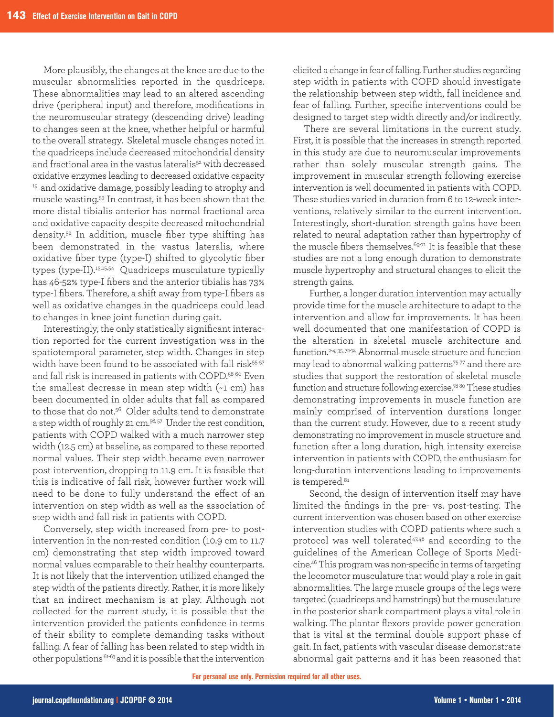More plausibly, the changes at the knee are due to the muscular abnormalities reported in the quadriceps. These abnormalities may lead to an altered ascending drive (peripheral input) and therefore, modifications in the neuromuscular strategy (descending drive) leading to changes seen at the knee, whether helpful or harmful to the overall strategy. Skeletal muscle changes noted in the quadriceps include decreased mitochondrial density and fractional area in the vastus lateralis<sup>52</sup> with decreased oxidative enzymes leading to decreased oxidative capacity <sup>19</sup> and oxidative damage, possibly leading to atrophy and muscle wasting.<sup>53</sup> In contrast, it has been shown that the more distal tibialis anterior has normal fractional area and oxidative capacity despite decreased mitochondrial density.52 In addition, muscle fiber type shifting has been demonstrated in the vastus lateralis, where oxidative fiber type (type-I) shifted to glycolytic fiber types (type-II).<sup>13,15,54</sup> Quadriceps musculature typically has 46-52% type-I fibers and the anterior tibialis has 73% type-I fibers. Therefore, a shift away from type-I fibers as well as oxidative changes in the quadriceps could lead to changes in knee joint function during gait.

Interestingly, the only statistically significant interaction reported for the current investigation was in the spatiotemporal parameter, step width. Changes in step width have been found to be associated with fall risk<sup>55-57</sup> and fall risk is increased in patients with COPD.<sup>58-60</sup> Even the smallest decrease in mean step width  $(-1$  cm) has been documented in older adults that fall as compared to those that do not.<sup>56</sup> Older adults tend to demonstrate a step width of roughly 21 cm.<sup>56,57</sup> Under the rest condition, patients with COPD walked with a much narrower step width (12.5 cm) at baseline, as compared to these reported normal values. Their step width became even narrower post intervention, dropping to 11.9 cm. It is feasible that this is indicative of fall risk, however further work will need to be done to fully understand the effect of an intervention on step width as well as the association of step width and fall risk in patients with COPD.

Conversely, step width increased from pre- to postintervention in the non-rested condition (10.9 cm to 11.7) cm) demonstrating that step width improved toward normal values comparable to their healthy counterparts. It is not likely that the intervention utilized changed the step width of the patients directly. Rather, it is more likely that an indirect mechanism is at play. Although not collected for the current study, it is possible that the intervention provided the patients confidence in terms of their ability to complete demanding taskswithout falling. A fear of falling has been related to step width in other populations  $61-63$  and it is possible that the intervention

elicited a change in fear of falling. Further studies regarding step width in patients with COPD should investigate the relationship between step width, fall incidence and fear of falling. Further, specific interventions could be designed to target step width directly and/or indirectly.

There are several limitations in the current study. First, it is possible that the increases in strength reported in this study are due to neuromuscular improvements rather than solely muscular strength gains. The improvement in muscular strength following exercise intervention is well documented in patients with COPD. These studies varied in duration from 6 to 12-week interventions, relatively similar to the current intervention. Interestingly, short-duration strength gains have been related to neural adaptation rather than hypertrophy of the muscle fibers themselves.<sup>69-71</sup> It is feasible that these studies are not a long enough duration to demonstrate muscle hypertrophy and structural changes to elicit the strength gains.

Further, a longer duration intervention may actually provide time for the muscle architecture to adapt to the intervention and allow for improvements. It has been well documented that one manifestation of COPD is the alteration in skeletal muscle architecture and function.<sup>2-4, 35, 72-74</sup> Abnormal muscle structure and function may lead to abnormal walking patterns<sup>75-77</sup> and there are studies that support the restoration of skeletal muscle function and structure following exercise.<sup>78-80</sup> These studies demonstrating improvements in muscle function are mainly comprised of intervention durations longer than the current study. However, due to a recent study demonstrating no improvement in muscle structure and function after a long duration, high intensity exercise intervention in patients with COPD, the enthusiasm for long-duration interventions leading to improvements is tempered.<sup>81</sup>

Second, the design of intervention itself may have limited the findings in the pre- vs. post-testing. The current intervention was chosen based on other exercise intervention studies with COPD patients where such a protocol was well tolerated<sup>47,48</sup> and according to the guidelines of the American College of Sports Medicine.<sup>46</sup> This program was non-specific in terms of targeting the locomotor musculature that would play a role in gait abnormalities. The large muscle groups of the legs were targeted (quadriceps and hamstrings) but the musculature in the posterior shank compartment plays a vital role in walking. The plantar flexors provide power generation that is vital at the terminal double support phase of gait. In fact, patients with vascular disease demonstrate abnormal gait patterns and it has been reasoned that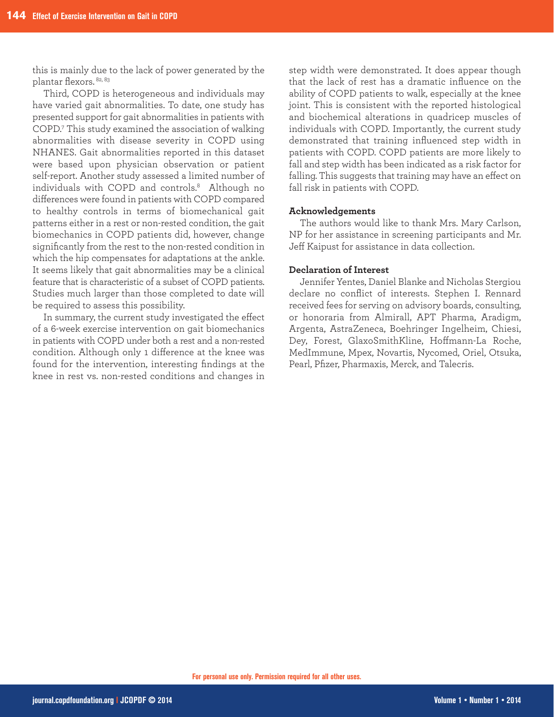this is mainly due to the lack of power generated by the plantar flexors. 82, 83

Third, COPD is heterogeneous and individuals may have varied gait abnormalities. To date, one study has presented support for gait abnormalities in patients with COPD.<sup>7</sup> This study examined the association of walking abnormalities with disease severity in COPD using NHANES. Gait abnormalities reported in this dataset were based upon physician observation or patient self-report. Another study assessed a limited number of individuals with COPD and controls.8 Although no differences were found in patients with COPD compared to healthy controls in terms of biomechanical gait patterns either in a rest or non-rested condition, the gait biomechanics in COPD patients did, however, change significantly from the rest to the non-rested condition in which the hip compensates for adaptations at the ankle. It seems likely that gait abnormalities may be a clinical feature that is characteristic of a subset of COPD patients. Studies much larger than those completed to date will be required to assess this possibility.

In summary, the current study investigated the effect of a 6-week exercise intervention on gait biomechanics in patients with COPD under both a rest and a non-rested condition. Although only 1 difference at the knee was found for the intervention, interesting findings at the knee in rest vs. non-rested conditions and changes in

step width were demonstrated. It does appear though that the lack of rest has a dramatic influence on the ability of COPD patients to walk, especially at the knee joint. This is consistent with the reported histological and biochemical alterations in quadricep muscles of individuals with COPD. Importantly, the current study demonstrated that training influenced step width in patients with COPD. COPD patients are more likely to fall and step width has been indicated as a risk factor for falling. This suggests that training may have an effect on fall risk in patients with COPD.

## **Acknowledgements**

The authors would like to thank Mrs. Mary Carlson, NP for her assistance in screening participants and Mr. Jeff Kaipust for assistance in data collection.

#### **Declaration of Interest**

Jennifer Yentes, Daniel Blanke and Nicholas Stergiou declare no conflict of interests. Stephen I. Rennard received fees for serving on advisory boards, consulting, or honoraria from Almirall, APT Pharma, Aradigm, Argenta, AstraZeneca, Boehringer Ingelheim, Chiesi, Dey, Forest, GlaxoSmithKline, Hoffmann-La Roche, MedImmune, Mpex, Novartis, Nycomed, Oriel, Otsuka, Pearl, Pfizer, Pharmaxis, Merck, and Talecris.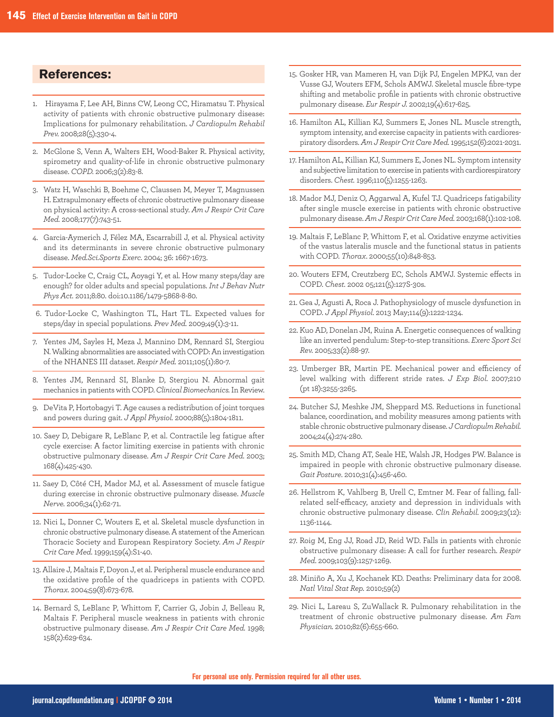# **References:**

- 1. Hirayama F, Lee AH, Binns CW, Leong CC, Hiramatsu T. Physical activity of patients with chronic obstructive pulmonary disease: Implications for pulmonary rehabilitation. *J Cardiopulm Rehabil Prev.* 2008;28(5):330-4.
- 2. McGlone S, Venn A, Walters EH, Wood-Baker R. Physical activity, spirometry and quality-of-life in chronic obstructive pulmonary disease.*COPD.* 2006;3(2):83-8.
- 3. Watz H, Waschki B, Boehme C, Claussen M, Meyer T, Magnussen H. Extrapulmonary effects of chronic obstructive pulmonary disease on physical activity: A cross-sectional study. Am J Respir Crit Care *Med.* 2008;177(7):743-51.
- 4. Garcia-Aymerich J, Félez MA, Escarrabill J, et al. Physical activity and its determinants in severe chronic obstructive pulmonary disease.*Med.Sci.Sports Exerc.* 2004;36:1667-1673.
- 5. Tudor-Locke C, Craig CL, Aoyagi Y, et al. How many steps/day are enough? for older adults and special populations. *Int J Behav Nutr Phys Act.* 2011;8:80.doi:10.1186/1479-5868-8-80.
- 6. Tudor-Locke C, Washington TL, Hart TL. Expected values for steps/day in special populations. Prev Med. 2009;49(1):3-11.
- 7. Yentes JM, Sayles H, Meza J, Mannino DM, Rennard SI, Stergiou N. Walking abnormalities are associated with COPD: An investigation of the NHANES III dataset. *Respir Med.* 2011;105(1):80-7.
- 8. Yentes JM, Rennard SI, Blanke D, Stergiou N. Abnormal gait mechanicsinpatientswithCOPD.*Clinical Biomechanics.*InReview.
- 9. DeVita P, Hortobagyi T. Age causes a redistribution of joint torques and powers during gait. *J Appl Physiol*. 2000;88(5):1804-1811.
- 10. Saey D, Debigare R, LeBlanc P, et al. Contractile leg fatigue after cycle exercise: A factor limiting exercise in patients with chronic obstructive pulmonary disease. Am J Respir Crit Care Med. 2003; 168(4):425-430.
- 11. Saey D, Côté CH, Mador MJ, et al. Assessment of muscle fatigue during exercise in chronic obstructive pulmonary disease. Muscle *Nerve.* 2006;34(1):62-71.
- 12. Nici L, Donner C, Wouters E, et al. Skeletal muscle dysfunction in chronic obstructive pulmonary disease. A statement of the American Thoracic Society and European Respiratory Society. Am J Respir *Crit Care Med.* 1999;159(4):S1-40.
- 13. Allaire J, Maltais F, Doyon J, et al. Peripheral muscle endurance and the oxidative profile of the quadriceps in patients with COPD. *Thorax.* 2004;59(8):673-678.
- 14. Bernard S, LeBlanc P, Whittom F, Carrier G, Jobin J, Belleau R, Maltais F. Peripheral muscle weakness in patients with chronic obstructive pulmonary disease. Am J Respir Crit Care Med. 1998; 158(2):629-634.
- 15. Gosker HR, van Mameren H, van Dijk PJ, Engelen MPKJ, van der Vusse GJ, Wouters EFM, Schols AMWJ. Skeletal muscle fibre-type shifting and metabolic profile in patients with chronic obstructive pulmonarydisease. *Eur Respir J.* 2002;19(4):617-625.
- 16. Hamilton AL, Killian KJ, Summers E, Jones NL. Muscle strength, symptom intensity, and exercise capacity in patients with cardiorespiratorydisorders.*Am J Respir Crit Care Med.*1995;152(6):2021-2031.
- 17. Hamilton AL, Killian KJ, Summers E, Jones NL. Symptom intensity and subjective limitation to exercise in patients with cardiorespiratory disorders.*Chest.* 1996;110(5):1255-1263.
- 18. Mador MJ, Deniz O, Aggarwal A, Kufel TJ. Quadriceps fatigability after single muscle exercise in patients with chronic obstructive pulmonarydisease.*Am J Respir Crit Care Med.* 2003;168(1):102-108.
- 19. Maltais F, LeBlanc P, Whittom F, et al. Oxidative enzyme activities of the vastus lateralis muscle and the functional status in patients withCOPD.*Thorax*.2000;55(10):848-853.
- 20. Wouters EFM, Creutzberg EC, Schols AMWJ. Systemic effects in COPD. Chest. 2002 05;121(5):127S-30s.
- 21. Gea J, Agusti A, Roca J. Pathophysiology of muscle dysfunction in COPD.*J Appl Physiol*.2013May;114(9):1222-1234.
- 22. Kuo AD, Donelan JM, Ruina A. Energetic consequences of walking like an inverted pendulum: Step-to-step transitions. *Exerc Sport Sci Rev.* 2005;33(2):88-97.
- 23. Umberger BR, Martin PE. Mechanical power and efficiency of level walking with different stride rates. *J Exp Biol.* 2007;210 (pt 18):3255-3265.
- 24. Butcher SJ, Meshke JM, Sheppard MS. Reductions in functional balance, coordination, and mobility measures among patients with stable chronic obstructive pulmonary disease. *J Cardiopulm Rehabil.* 2004;24(4):274-280.
- 25. Smith MD, Chang AT, Seale HE, Walsh JR, Hodges PW. Balance is impaired in people with chronic obstructive pulmonary disease. *Gait Posture*.2010;31(4):456-460.
- 26. Hellstrom K, Vahlberg B, Urell C, Emtner M. Fear of falling, fallrelated self-efficacy, anxiety and depression in individuals with chronic obstructive pulmonary disease. Clin Rehabil. 2009;23(12): 1136-1144.
- 27. Roig M, Eng JJ, Road JD, Reid WD. Falls in patients with chronic obstructive pulmonary disease: A call for further research. Respir *Med*.2009;103(9):1257-1269.
- 28. Miniño A, Xu J, Kochanek KD. Deaths: Preliminary data for 2008. *Natl Vital Stat Rep.* 2010;59(2)
- 29. Nici L, Lareau S, ZuWallack R. Pulmonary rehabilitation in the treatment of chronic obstructive pulmonary disease. *Am Fam Physician.* 2010;82(6):655-660.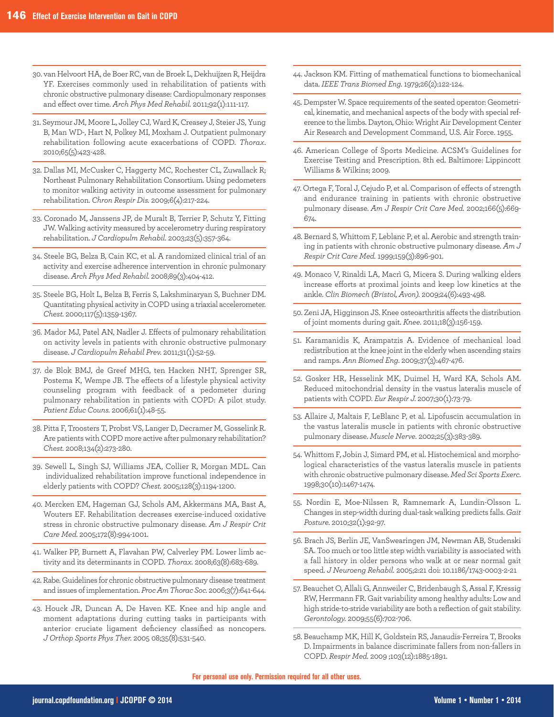- 30.vanHelvoortHA,deBoerRC,vandeBroekL,DekhuijzenR,Heijdra YF. Exercises commonly used in rehabilitation of patients with chronic obstructive pulmonary disease: Cardiopulmonary responses and effect over time. Arch Phys Med Rehabil. 2011;92(1):111-117.
- 31. Seymour JM, Moore L, Jolley CJ, Ward K, Creasey J, Steier JS, Yung B, Man WD-, Hart N, Polkey MI, Moxham J. Outpatient pulmonary rehabilitation following acute exacerbations of COPD. *Thorax*. 2010;65(5):423-428.
- 32. Dallas MI, McCusker C, Haggerty MC, Rochester CL, Zuwallack R; Northeast Pulmonary Rehabilitation Consortium. Using pedometers to monitor walking activity in outcome assessment for pulmonary rehabilitation.*Chron Respir Dis.* 2009;6(4):217-224.
- 33. Coronado M, Janssens JP, de Muralt B, Terrier P, Schutz Y, Fitting JW. Walking activity measured by accelerometry during respiratory rehabilitation. *J Cardiopulm Rehabil.* 2003;23(5):357-364.
- 34. Steele BG, Belza B, Cain KC, et al. A randomized clinical trial of an activity and exercise adherence intervention in chronic pulmonary disease.*Arch Phys Med Rehabil.* 2008;89(3):404-412.
- 35. Steele BG, Holt L, Belza B, Ferris S, Lakshminaryan S, Buchner DM. Quantitating physical activity in COPD using a triaxial accelerometer. *Chest.* 2000;117(5):1359-1367.
- 36. Mador MJ, Patel AN, Nadler J. Effects of pulmonary rehabilitation on activity levels in patients with chronic obstructive pulmonary disease.*J Cardiopulm Rehabil Prev.* 2011;31(1):52-59.
- 37. de Blok BMJ, de Greef MHG, ten Hacken NHT, Sprenger SR, Postema K, Wempe JB. The effects of a lifestyle physical activity counseling program with feedback of a pedometer during pulmonary rehabilitation in patients with COPD: A pilot study. *Patient Educ Couns.* 2006;61(1):48-55.
- 38. Pitta F, Troosters T, Probst VS, Langer D, Decramer M, Gosselink R. Are patients with COPD more active after pulmonary rehabilitation? *Chest.* 2008;134(2):273-280.
- 39. Sewell L, Singh SJ, Williams JEA, Collier R, Morgan MDL. Can individualized rehabilitation improve functional independence in elderlypatientswithCOPD?*Chest.* 2005;128(3):1194-1200.
- 40. Mercken EM, Hageman GJ, Schols AM, Akkermans MA, Bast A, Wouters EF. Rehabilitation decreases exercise-induced oxidative stress in chronic obstructive pulmonary disease. Am J Respir Crit *Care Med.* 2005;172(8):994-1001.
- 41. Walker PP, Burnett A, Flavahan PW, Calverley PM. Lower limb activity and its determinants in COPD. Thorax. 2008;63(8):683-689.
- 42. Rabe. Guidelines for chronic obstructive pulmonary disease treatment and issues of implementation. Proc Am Thorac Soc. 2006;3(7):641-644.
- 43. Houck JR, Duncan A, De Haven KE. Knee and hip angle and moment adaptations during cutting tasks in participants with anterior cruciate ligament deficiency classified as noncopers. *J Orthop Sports Phys Ther.* 200508;35(8):531-540.
- 44. Jackson KM. Fitting of mathematical functions to biomechanical data. *IEEE Trans Biomed Eng.* 1979;26(2):122-124.
- 45. Dempster W. Space requirements of the seated operator: Geometrical, kinematic, and mechanical aspects of the body with special reference to the limbs. Dayton, Ohio: Wright Air Development Center Air Research and Development Command, U.S. Air Force. 1955.
- 46. American College of Sports Medicine. ACSM's Guidelines for Exercise Testing and Prescription. 8th ed. Baltimore: Lippincott Williams&Wilkins;2009.
- 47. Ortega F, Toral J, Cejudo P, et al. Comparison of effects of strength and endurance training in patients with chronic obstructive pulmonary disease. *Am J Respir Crit Care Med.* 2002;166(5):669-674.
- 48. Bernard S, Whittom F, Leblanc P, et al. Aerobic and strength training in patients with chronic obstructive pulmonary disease. Am J *Respir Crit Care Med.* 1999;159(3):896-901.
- 49. Monaco V, Rinaldi LA, Macrì G, Micera S. During walking elders increase efforts at proximal joints and keep low kinetics at the ankle.*Clin Biomech (Bristol, Avon).* 2009;24(6):493-498.
- 50. Zeni JA, Higginson JS. Knee osteoarthritis affects the distribution of joint moments during gait. Knee. 2011;18(3):156-159.
- 51. Karamanidis K, Arampatzis A. Evidence of mechanical load redistribution at the knee joint in the elderly when ascending stairs and ramps. Ann Biomed Eng. 2009;37(3):467-476.
- 52. Gosker HR, Hesselink MK, Duimel H, Ward KA, Schols AM. Reduced mitochondrial density in the vastus lateralis muscle of patients with COPD. Eur Respir J. 2007;30(1):73-79.
- 53. Allaire J, Maltais F, LeBlanc P, et al. Lipofuscin accumulation in the vastus lateralis muscle in patients with chronic obstructive pulmonarydisease. *Muscle Nerve.* 2002;25(3):383-389.
- 54. Whittom F, Jobin J, Simard PM, et al. Histochemical and morphological characteristics of the vastus lateralis muscle in patients with chronic obstructive pulmonary disease. Med Sci Sports Exerc. 1998;30(10):1467-1474.
- 55. Nordin E, Moe-Nilssen R, Ramnemark A, Lundin-Olsson L. Changes in step-width during dual-task walking predicts falls. Gait *Posture.* 2010;32(1):92-97.
- 56. Brach JS, Berlin JE, VanSwearingen JM, Newman AB, Studenski SA. Too much or too little step width variability is associated with a fall history in older persons who walk at or near normal gait speed. *J Neuroeng Rehabil.* 2005;2:21 doi: 10.1186/1743-0003-2-21
- 57. Beauchet O, Allali G, Annweiler C, Bridenbaugh S, Assal F, Kressig RW, Herrmann FR. Gait variability among healthy adults: Low and high stride-to-stride variability are both a reflection of gait stability. *Gerontology.* 2009;55(6):702-706.
- 58. Beauchamp MK, Hill K, Goldstein RS, Janaudis-Ferreira T, Brooks D. Impairments in balance discriminate fallers from non-fallers in COPD.*Respir Med.* 2009;103(12):1885-1891.